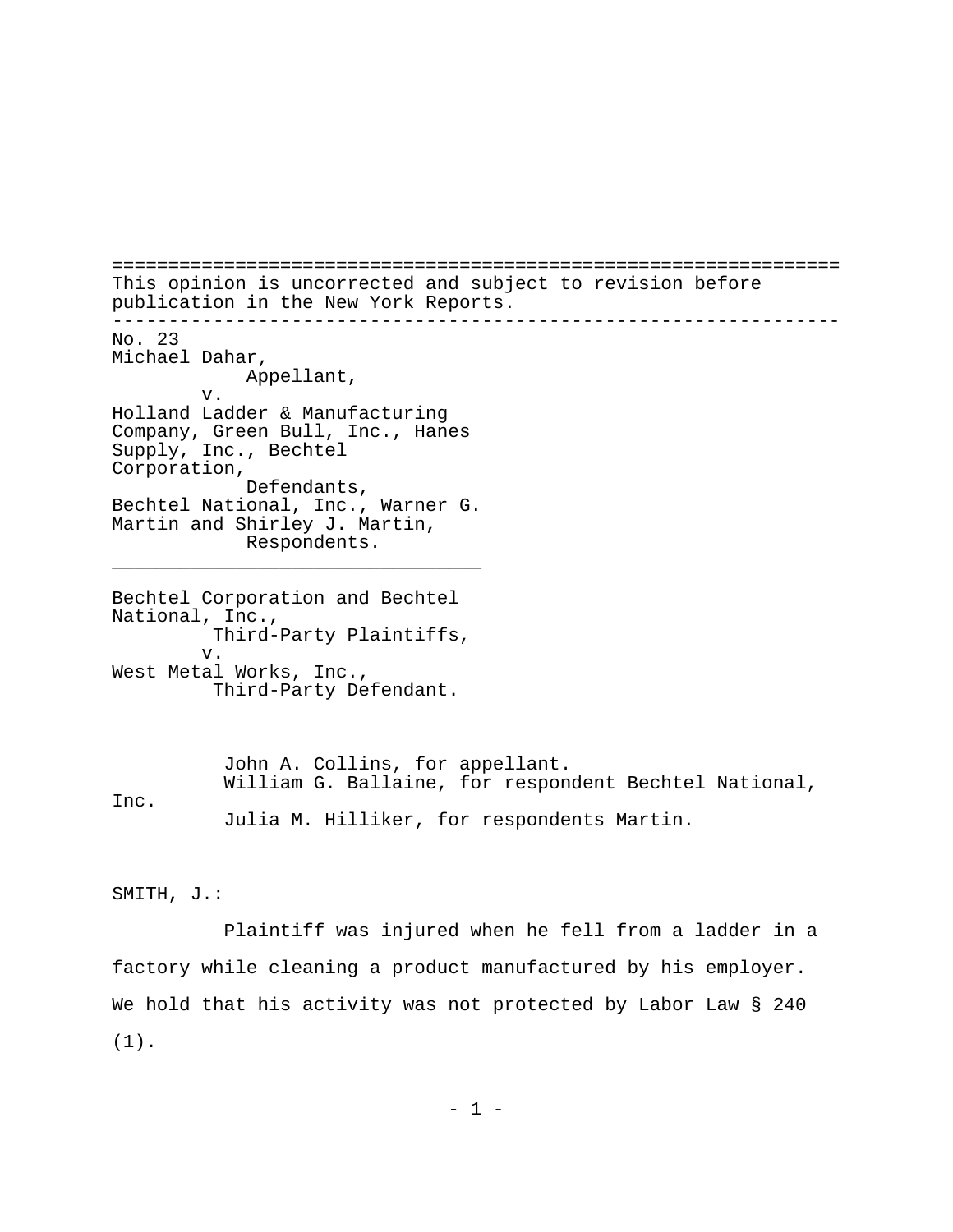================================================================= This opinion is uncorrected and subject to revision before publication in the New York Reports. ----------------------------------------------------------------- No. 23 Michael Dahar, Appellant, v. Holland Ladder & Manufacturing Company, Green Bull, Inc., Hanes Supply, Inc., Bechtel Corporation, Defendants, Bechtel National, Inc., Warner G. Martin and Shirley J. Martin, Respondents. \_\_\_\_\_\_\_\_\_\_\_\_\_\_\_\_\_\_\_\_\_\_\_\_\_\_\_\_\_\_\_\_\_ Bechtel Corporation and Bechtel National, Inc., Third-Party Plaintiffs, v. West Metal Works, Inc., Third-Party Defendant.

John A. Collins, for appellant. William G. Ballaine, for respondent Bechtel National, Inc. Julia M. Hilliker, for respondents Martin.

SMITH, J.:

Plaintiff was injured when he fell from a ladder in a factory while cleaning a product manufactured by his employer. We hold that his activity was not protected by Labor Law § 240 (1).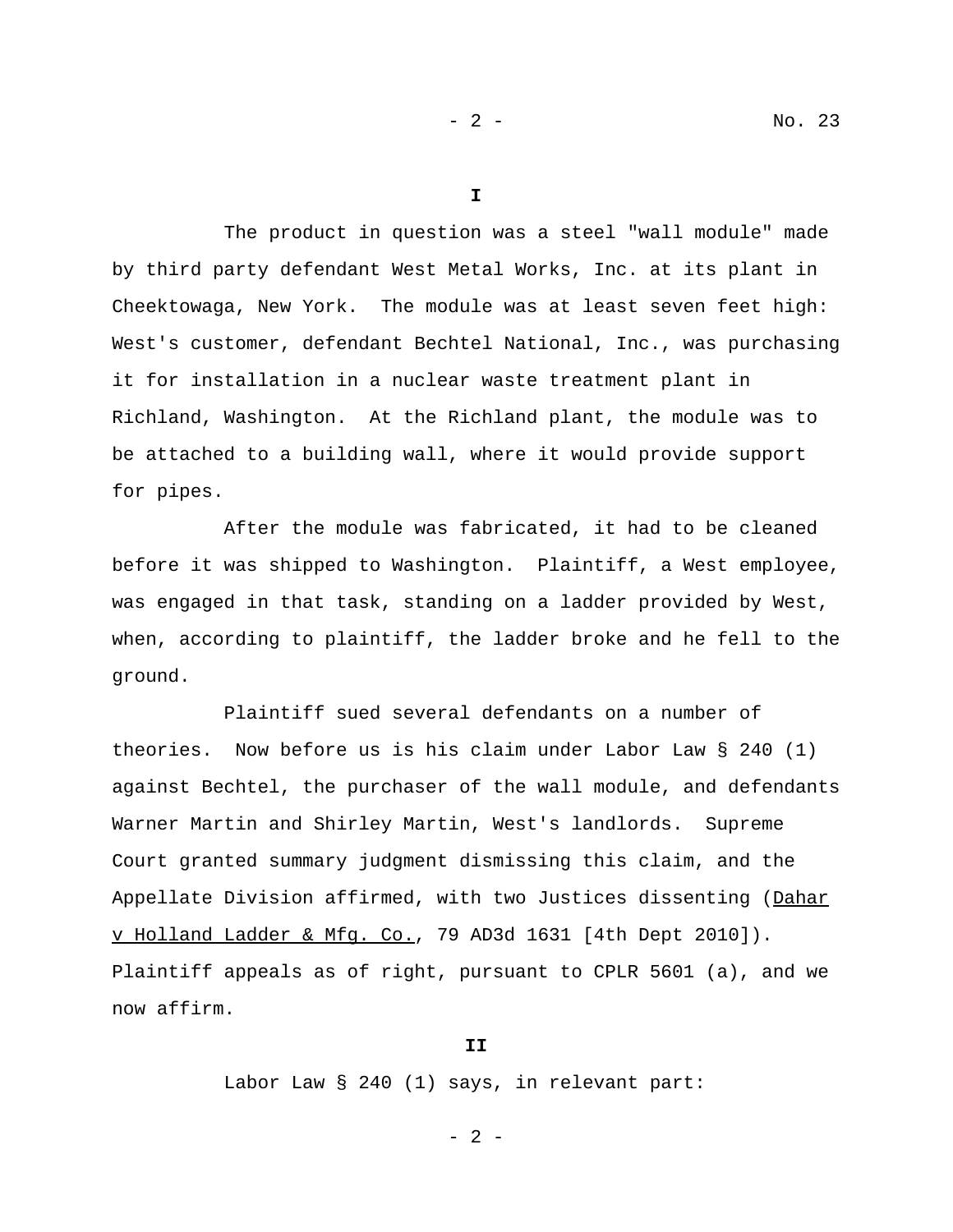**I**

The product in question was a steel "wall module" made by third party defendant West Metal Works, Inc. at its plant in Cheektowaga, New York. The module was at least seven feet high: West's customer, defendant Bechtel National, Inc., was purchasing it for installation in a nuclear waste treatment plant in Richland, Washington. At the Richland plant, the module was to be attached to a building wall, where it would provide support for pipes.

After the module was fabricated, it had to be cleaned before it was shipped to Washington. Plaintiff, a West employee, was engaged in that task, standing on a ladder provided by West, when, according to plaintiff, the ladder broke and he fell to the ground.

Plaintiff sued several defendants on a number of theories. Now before us is his claim under Labor Law § 240 (1) against Bechtel, the purchaser of the wall module, and defendants Warner Martin and Shirley Martin, West's landlords. Supreme Court granted summary judgment dismissing this claim, and the Appellate Division affirmed, with two Justices dissenting (Dahar v Holland Ladder & Mfg. Co., 79 AD3d 1631 [4th Dept 2010]). Plaintiff appeals as of right, pursuant to CPLR 5601 (a), and we now affirm.

## **II**

Labor Law § 240 (1) says, in relevant part:

- 2 -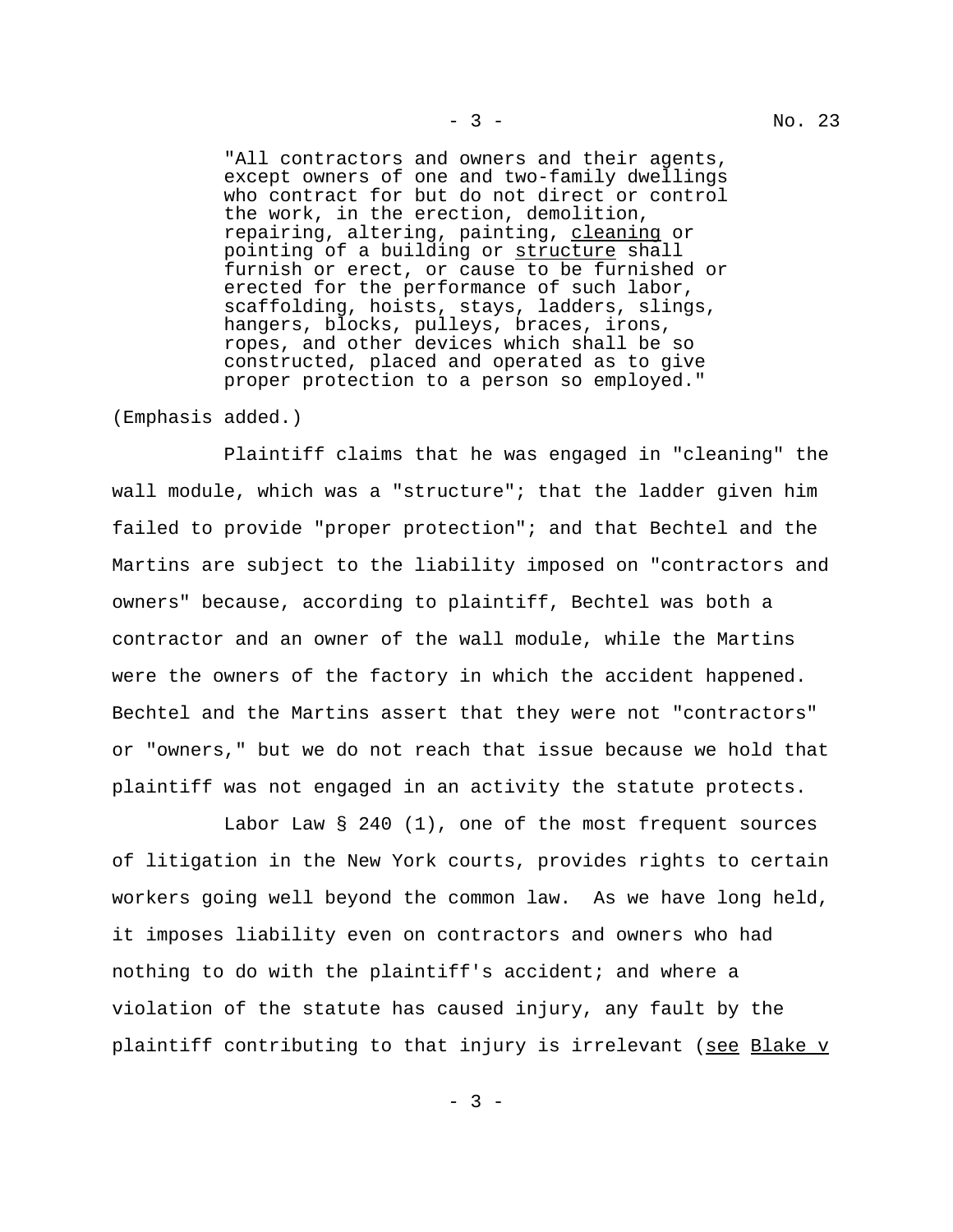"All contractors and owners and their agents, except owners of one and two-family dwellings who contract for but do not direct or control the work, in the erection, demolition, repairing, altering, painting, cleaning or pointing of a building or structure shall furnish or erect, or cause to be furnished or erected for the performance of such labor, scaffolding, hoists, stays, ladders, slings, hangers, blocks, pulleys, braces, irons, ropes, and other devices which shall be so constructed, placed and operated as to give proper protection to a person so employed."

(Emphasis added.)

Plaintiff claims that he was engaged in "cleaning" the wall module, which was a "structure"; that the ladder given him failed to provide "proper protection"; and that Bechtel and the Martins are subject to the liability imposed on "contractors and owners" because, according to plaintiff, Bechtel was both a contractor and an owner of the wall module, while the Martins were the owners of the factory in which the accident happened. Bechtel and the Martins assert that they were not "contractors" or "owners," but we do not reach that issue because we hold that plaintiff was not engaged in an activity the statute protects.

Labor Law § 240 (1), one of the most frequent sources of litigation in the New York courts, provides rights to certain workers going well beyond the common law. As we have long held, it imposes liability even on contractors and owners who had nothing to do with the plaintiff's accident; and where a violation of the statute has caused injury, any fault by the plaintiff contributing to that injury is irrelevant (see Blake v

 $- 3 -$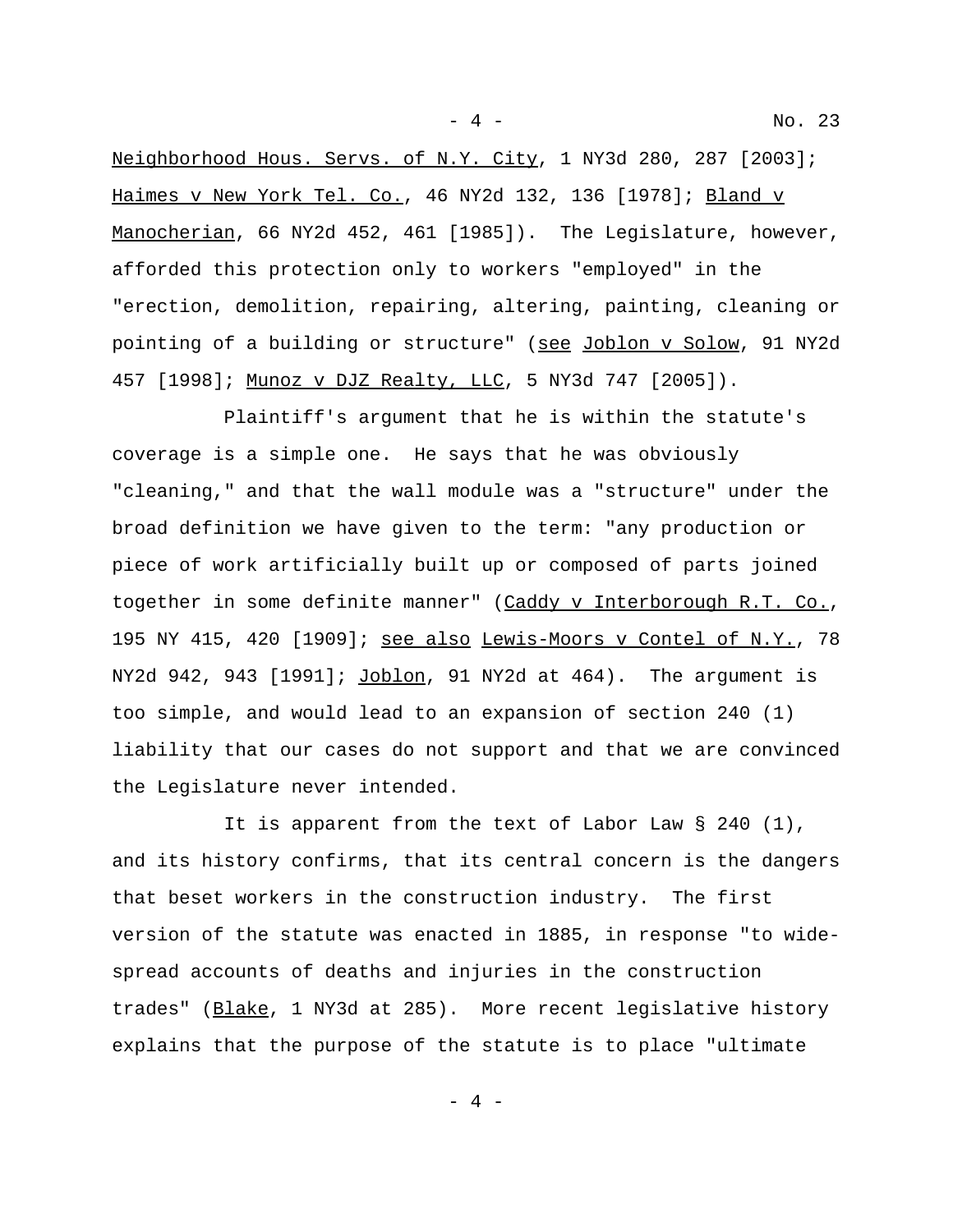Neighborhood Hous. Servs. of N.Y. City, 1 NY3d 280, 287 [2003]; Haimes v New York Tel. Co., 46 NY2d 132, 136 [1978]; Bland v Manocherian, 66 NY2d 452, 461 [1985]). The Legislature, however, afforded this protection only to workers "employed" in the

"erection, demolition, repairing, altering, painting, cleaning or pointing of a building or structure" (see Joblon v Solow, 91 NY2d 457 [1998]; Munoz v DJZ Realty, LLC, 5 NY3d 747 [2005]).

Plaintiff's argument that he is within the statute's coverage is a simple one. He says that he was obviously "cleaning," and that the wall module was a "structure" under the broad definition we have given to the term: "any production or piece of work artificially built up or composed of parts joined together in some definite manner" (Caddy v Interborough R.T. Co., 195 NY 415, 420 [1909]; see also Lewis-Moors v Contel of N.Y., 78 NY2d 942, 943 [1991]; Joblon, 91 NY2d at 464). The argument is too simple, and would lead to an expansion of section 240 (1) liability that our cases do not support and that we are convinced the Legislature never intended.

It is apparent from the text of Labor Law  $\S$  240 (1), and its history confirms, that its central concern is the dangers that beset workers in the construction industry. The first version of the statute was enacted in 1885, in response "to widespread accounts of deaths and injuries in the construction trades" (Blake, 1 NY3d at 285). More recent legislative history explains that the purpose of the statute is to place "ultimate

- 4 -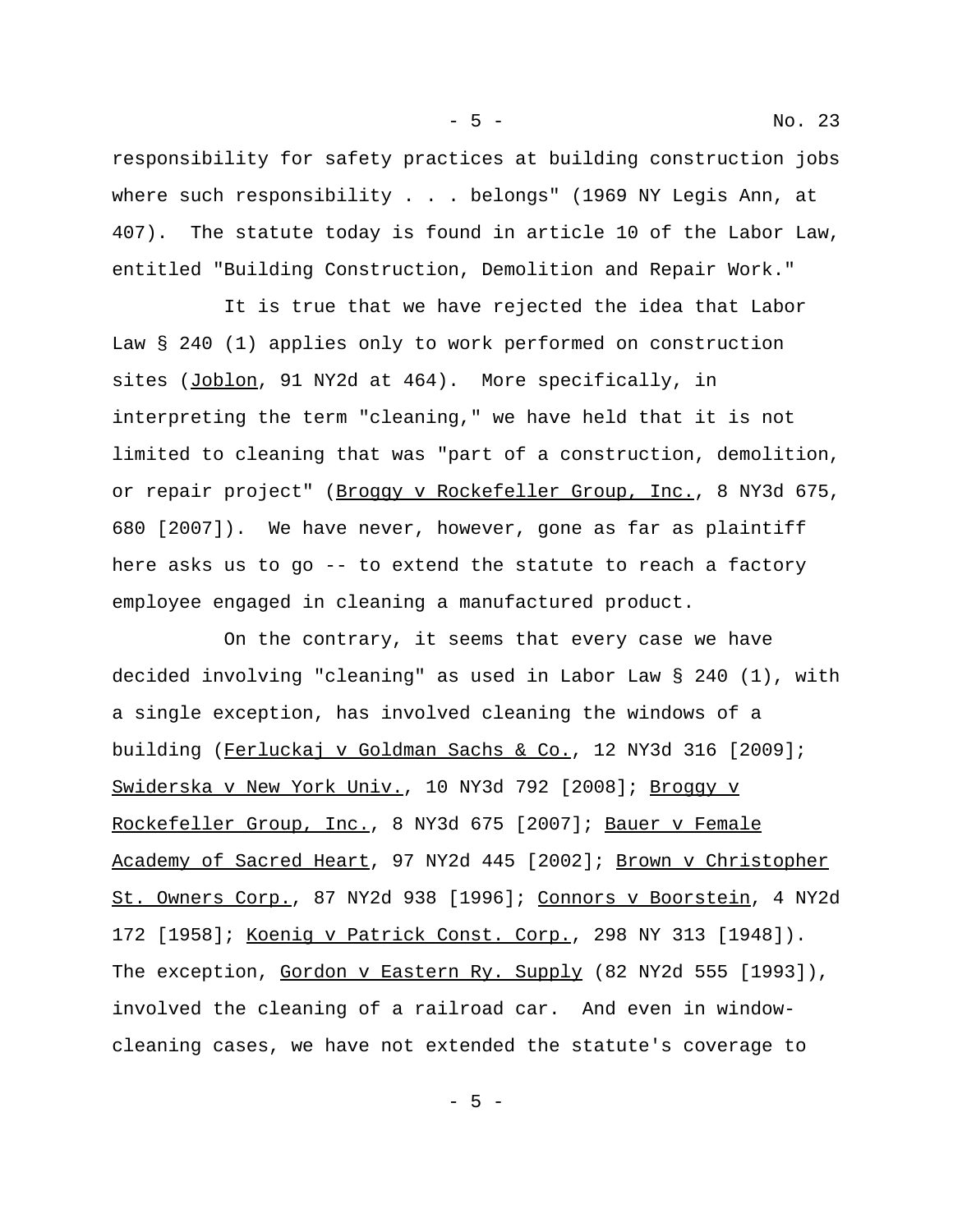responsibility for safety practices at building construction jobs where such responsibility . . . belongs" (1969 NY Legis Ann, at 407). The statute today is found in article 10 of the Labor Law, entitled "Building Construction, Demolition and Repair Work."

It is true that we have rejected the idea that Labor Law § 240 (1) applies only to work performed on construction sites (Joblon, 91 NY2d at 464). More specifically, in interpreting the term "cleaning," we have held that it is not limited to cleaning that was "part of a construction, demolition, or repair project" (Broggy v Rockefeller Group, Inc., 8 NY3d 675, 680 [2007]). We have never, however, gone as far as plaintiff here asks us to go -- to extend the statute to reach a factory employee engaged in cleaning a manufactured product.

On the contrary, it seems that every case we have decided involving "cleaning" as used in Labor Law § 240 (1), with a single exception, has involved cleaning the windows of a building (Ferluckaj v Goldman Sachs & Co., 12 NY3d 316 [2009]; Swiderska v New York Univ., 10 NY3d 792 [2008]; Broggy v Rockefeller Group, Inc., 8 NY3d 675 [2007]; Bauer v Female Academy of Sacred Heart, 97 NY2d 445 [2002]; Brown v Christopher St. Owners Corp., 87 NY2d 938 [1996]; Connors v Boorstein, 4 NY2d 172 [1958]; Koenig v Patrick Const. Corp., 298 NY 313 [1948]). The exception, Gordon v Eastern Ry. Supply (82 NY2d 555 [1993]), involved the cleaning of a railroad car. And even in windowcleaning cases, we have not extended the statute's coverage to